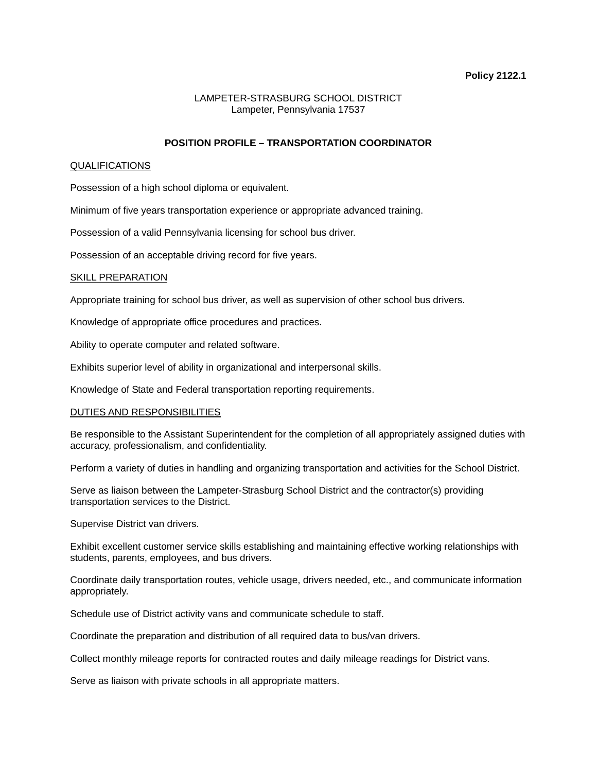### **Policy 2122.1**

# LAMPETER-STRASBURG SCHOOL DISTRICT Lampeter, Pennsylvania 17537

## **POSITION PROFILE – TRANSPORTATION COORDINATOR**

#### QUALIFICATIONS

Possession of a high school diploma or equivalent.

Minimum of five years transportation experience or appropriate advanced training.

Possession of a valid Pennsylvania licensing for school bus driver.

Possession of an acceptable driving record for five years.

#### SKILL PREPARATION

Appropriate training for school bus driver, as well as supervision of other school bus drivers.

Knowledge of appropriate office procedures and practices.

Ability to operate computer and related software.

Exhibits superior level of ability in organizational and interpersonal skills.

Knowledge of State and Federal transportation reporting requirements.

### DUTIES AND RESPONSIBILITIES

Be responsible to the Assistant Superintendent for the completion of all appropriately assigned duties with accuracy, professionalism, and confidentiality.

Perform a variety of duties in handling and organizing transportation and activities for the School District.

Serve as liaison between the Lampeter-Strasburg School District and the contractor(s) providing transportation services to the District.

Supervise District van drivers.

Exhibit excellent customer service skills establishing and maintaining effective working relationships with students, parents, employees, and bus drivers.

Coordinate daily transportation routes, vehicle usage, drivers needed, etc., and communicate information appropriately.

Schedule use of District activity vans and communicate schedule to staff.

Coordinate the preparation and distribution of all required data to bus/van drivers.

Collect monthly mileage reports for contracted routes and daily mileage readings for District vans.

Serve as liaison with private schools in all appropriate matters.